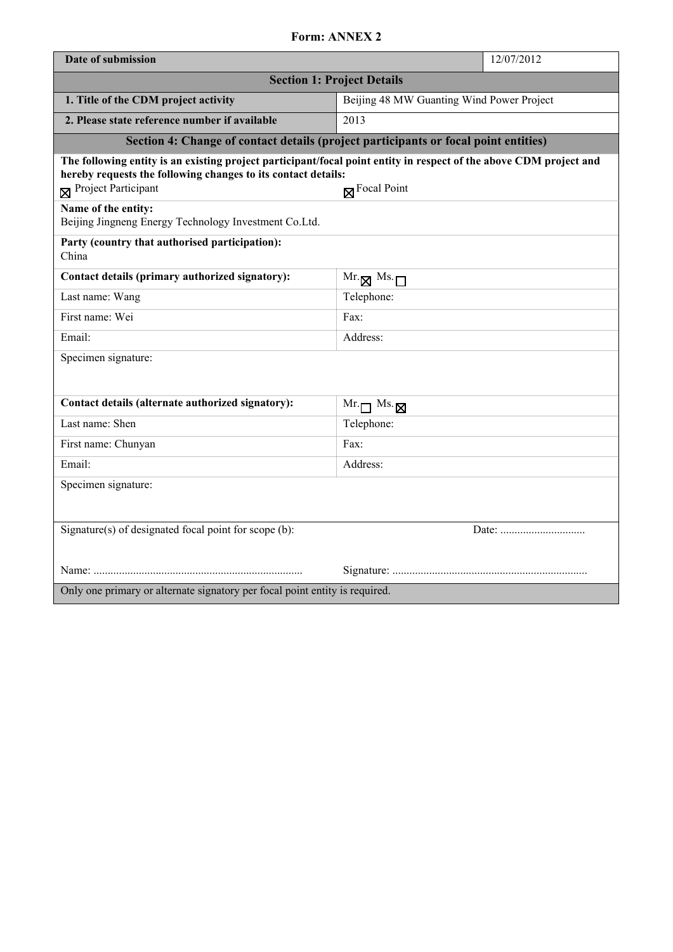## **Form: ANNEX 2**

| Date of submission                                                                                                                                                                                                            |                                           | 12/07/2012 |
|-------------------------------------------------------------------------------------------------------------------------------------------------------------------------------------------------------------------------------|-------------------------------------------|------------|
| <b>Section 1: Project Details</b>                                                                                                                                                                                             |                                           |            |
| 1. Title of the CDM project activity                                                                                                                                                                                          | Beijing 48 MW Guanting Wind Power Project |            |
| 2. Please state reference number if available                                                                                                                                                                                 | 2013                                      |            |
| Section 4: Change of contact details (project participants or focal point entities)                                                                                                                                           |                                           |            |
| The following entity is an existing project participant/focal point entity in respect of the above CDM project and<br>hereby requests the following changes to its contact details:<br>Project Participant<br>$R$ Focal Point |                                           |            |
| Name of the entity:<br>Beijing Jingneng Energy Technology Investment Co.Ltd.                                                                                                                                                  |                                           |            |
| Party (country that authorised participation):<br>China                                                                                                                                                                       |                                           |            |
| Contact details (primary authorized signatory):                                                                                                                                                                               | $Mr.\boxtimes Ms.\Box$                    |            |
| Last name: Wang                                                                                                                                                                                                               | Telephone:                                |            |
| First name: Wei                                                                                                                                                                                                               | Fax:                                      |            |
| Email:                                                                                                                                                                                                                        | Address:                                  |            |
| Specimen signature:                                                                                                                                                                                                           |                                           |            |
|                                                                                                                                                                                                                               |                                           |            |
| Contact details (alternate authorized signatory):                                                                                                                                                                             | $Mr.\n\neg$ Ms. $\neg$                    |            |
| Last name: Shen                                                                                                                                                                                                               | Telephone:                                |            |
| First name: Chunyan                                                                                                                                                                                                           | Fax:                                      |            |
| Email:                                                                                                                                                                                                                        | Address:                                  |            |
| Specimen signature:                                                                                                                                                                                                           |                                           |            |
|                                                                                                                                                                                                                               |                                           |            |
| Signature(s) of designated focal point for scope (b):                                                                                                                                                                         |                                           |            |
|                                                                                                                                                                                                                               |                                           |            |
|                                                                                                                                                                                                                               |                                           |            |
| Only one primary or alternate signatory per focal point entity is required.                                                                                                                                                   |                                           |            |